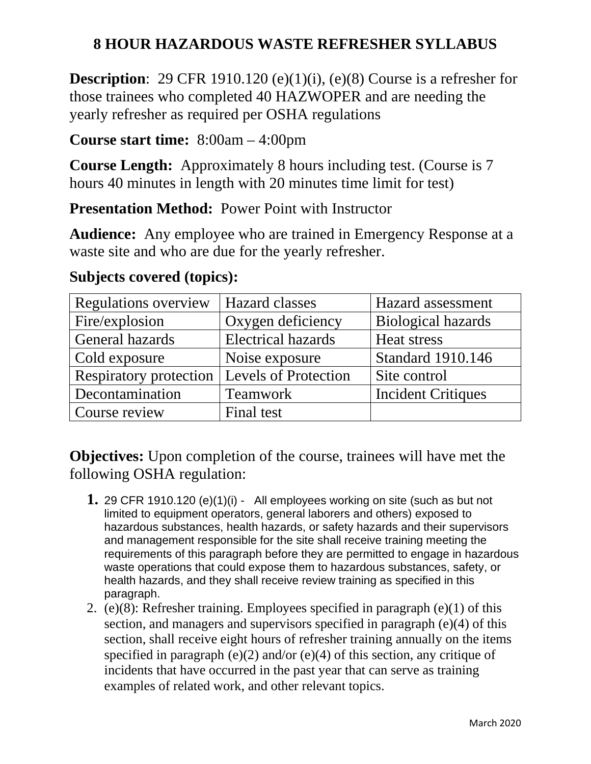## **8 HOUR HAZARDOUS WASTE REFRESHER SYLLABUS**

**Description:** 29 CFR 1910.120 (e)(1)(i), (e)(8) Course is a refresher for those trainees who completed 40 HAZWOPER and are needing the yearly refresher as required per OSHA regulations

## **Course start time:** 8:00am – 4:00pm

**Course Length:** Approximately 8 hours including test. (Course is 7 hours 40 minutes in length with 20 minutes time limit for test)

**Presentation Method: Power Point with Instructor** 

**Audience:** Any employee who are trained in Emergency Response at a waste site and who are due for the yearly refresher.

| Regulations overview   | <b>Hazard classes</b>     | Hazard assessment         |
|------------------------|---------------------------|---------------------------|
| Fire/explosion         | Oxygen deficiency         | <b>Biological hazards</b> |
| General hazards        | <b>Electrical hazards</b> | Heat stress               |
| Cold exposure          | Noise exposure            | <b>Standard 1910.146</b>  |
| Respiratory protection | Levels of Protection      | Site control              |
| Decontamination        | <b>Teamwork</b>           | <b>Incident Critiques</b> |
| Course review          | Final test                |                           |

## **Subjects covered (topics):**

**Objectives:** Upon completion of the course, trainees will have met the following OSHA regulation:

- **1.** 29 CFR 1910.120 (e)(1)(i) All employees working on site (such as but not limited to equipment operators, general laborers and others) exposed to hazardous substances, health hazards, or safety hazards and their supervisors and management responsible for the site shall receive training meeting the requirements of this paragraph before they are permitted to engage in hazardous waste operations that could expose them to hazardous substances, safety, or health hazards, and they shall receive review training as specified in this paragraph.
- 2. (e)(8): Refresher training. Employees specified in paragraph (e)(1) of this section, and managers and supervisors specified in paragraph (e)(4) of this section, shall receive eight hours of refresher training annually on the items specified in paragraph (e)(2) and/or (e)(4) of this section, any critique of incidents that have occurred in the past year that can serve as training examples of related work, and other relevant topics.